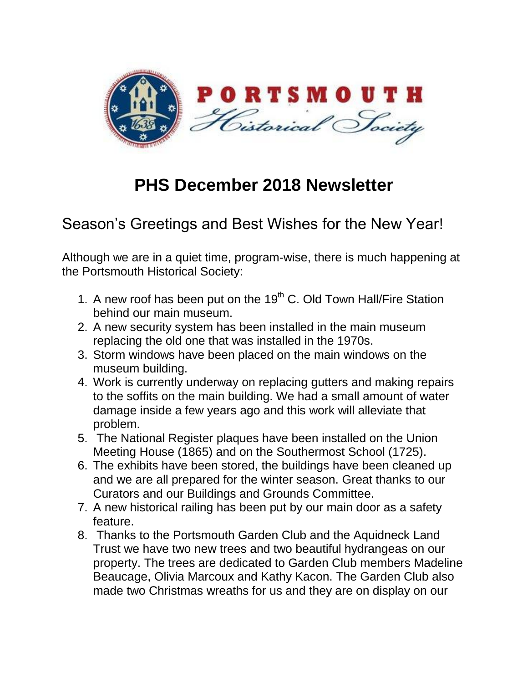

## **PHS December 2018 Newsletter**

## Season's Greetings and Best Wishes for the New Year!

Although we are in a quiet time, program-wise, there is much happening at the Portsmouth Historical Society:

- 1. A new roof has been put on the  $19<sup>th</sup>$  C. Old Town Hall/Fire Station behind our main museum.
- 2. A new security system has been installed in the main museum replacing the old one that was installed in the 1970s.
- 3. Storm windows have been placed on the main windows on the museum building.
- 4. Work is currently underway on replacing gutters and making repairs to the soffits on the main building. We had a small amount of water damage inside a few years ago and this work will alleviate that problem.
- 5. The National Register plaques have been installed on the Union Meeting House (1865) and on the Southermost School (1725).
- 6. The exhibits have been stored, the buildings have been cleaned up and we are all prepared for the winter season. Great thanks to our Curators and our Buildings and Grounds Committee.
- 7. A new historical railing has been put by our main door as a safety feature.
- 8. Thanks to the Portsmouth Garden Club and the Aquidneck Land Trust we have two new trees and two beautiful hydrangeas on our property. The trees are dedicated to Garden Club members Madeline Beaucage, Olivia Marcoux and Kathy Kacon. The Garden Club also made two Christmas wreaths for us and they are on display on our